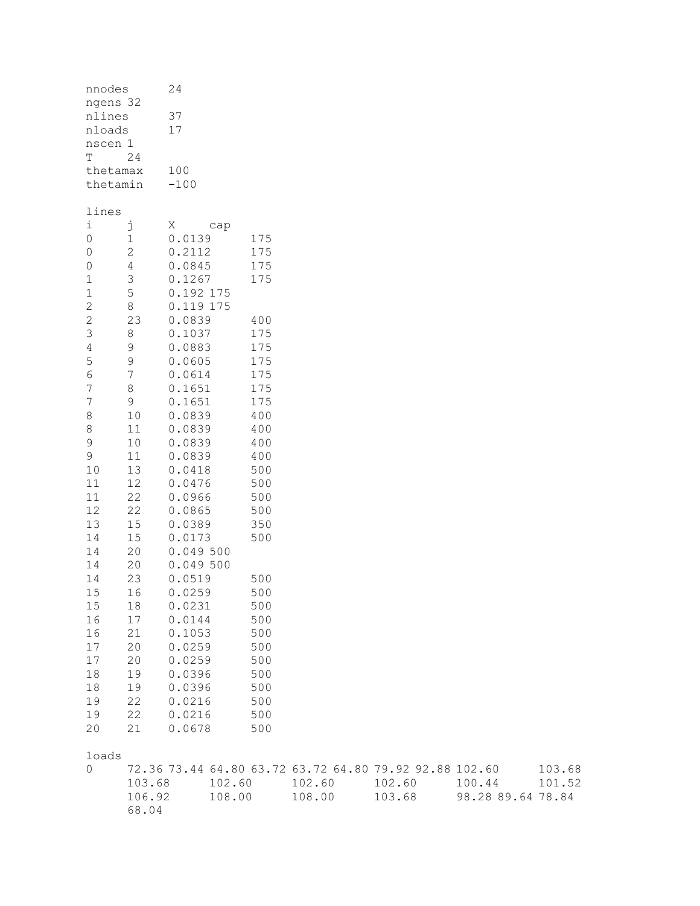| nnodes         |                | 24           |     |  |  |  |  |
|----------------|----------------|--------------|-----|--|--|--|--|
|                | ngens 32       |              |     |  |  |  |  |
| nlines         |                | 37           |     |  |  |  |  |
| nloads         |                | 17           |     |  |  |  |  |
| nscen 1        |                |              |     |  |  |  |  |
| T              | 24             |              |     |  |  |  |  |
|                | thetamax       | 100          |     |  |  |  |  |
|                | thetamin       | $-100$       |     |  |  |  |  |
| lines          |                |              |     |  |  |  |  |
| $\mathtt{i}$   | j              | Χ<br>cap     |     |  |  |  |  |
| $\circ$        | $\mathbf{1}$   | 0.0139       | 175 |  |  |  |  |
| $\circ$        | $\overline{c}$ | 0.2112       | 175 |  |  |  |  |
| $\overline{O}$ | $\overline{4}$ | 0.0845       | 175 |  |  |  |  |
| $\mathbf{1}$   | 3              | 0.1267       | 175 |  |  |  |  |
| $\mathbf{1}$   | 5              | 0.192 175    |     |  |  |  |  |
| $\overline{c}$ | 8              | 0.119<br>175 |     |  |  |  |  |
| $\overline{c}$ | 23             | 0.0839       | 400 |  |  |  |  |
| $\mathcal{S}$  | 8              | 0.1037       | 175 |  |  |  |  |
| $\overline{4}$ | 9              | 0.0883       | 175 |  |  |  |  |
| 5              | 9              | 0.0605       | 175 |  |  |  |  |
| $\overline{6}$ | 7              | 0.0614       | 175 |  |  |  |  |
| 7              | 8              | 0.1651       | 175 |  |  |  |  |
| 7              | 9              | 0.1651       | 175 |  |  |  |  |
| 8              | 10             | 0.0839       | 400 |  |  |  |  |
| 8              | 11             | 0.0839       | 400 |  |  |  |  |
| 9              | 10             | 0.0839       | 400 |  |  |  |  |
| 9              | 11             | 0.0839       | 400 |  |  |  |  |
| 10             | 13             | 0.0418       | 500 |  |  |  |  |
| 11             | 12             | 0.0476       | 500 |  |  |  |  |
| 11             | 22             | 0.0966       | 500 |  |  |  |  |
| 12             | 22             | 0.0865       | 500 |  |  |  |  |
| 13             | 15             | 0.0389       | 350 |  |  |  |  |
| 14             | 15             | 0.0173       | 500 |  |  |  |  |
| 14             | 20             | 0.049500     |     |  |  |  |  |
| 14             | 20             | 0.049 500    |     |  |  |  |  |
| 14             | 23             | 0.0519       | 500 |  |  |  |  |
| 15             | 16             | 0.0259       | 500 |  |  |  |  |
| 15             | 18             | 0.0231       | 500 |  |  |  |  |
| 16             | 17             | 0.0144       | 500 |  |  |  |  |
| 16             | 21             | 0.1053       | 500 |  |  |  |  |
| 17             | 20             | 0.0259       | 500 |  |  |  |  |
| 17             | 20             | 0.0259       | 500 |  |  |  |  |
| 18             | 19             | 0.0396       | 500 |  |  |  |  |
| 18             | 19             | 0.0396       | 500 |  |  |  |  |
| 19             | 22             | 0.0216       | 500 |  |  |  |  |
| 19             | 22             | 0.0216       | 500 |  |  |  |  |
| 20             | 21             | 0.0678       | 500 |  |  |  |  |

| loads  |        |                                                        |        |        |                   |        |
|--------|--------|--------------------------------------------------------|--------|--------|-------------------|--------|
| $\cap$ |        | 72.36 73.44 64.80 63.72 63.72 64.80 79.92 92.88 102.60 |        |        |                   | 103.68 |
|        | 103.68 | 102.60                                                 | 102.60 | 102.60 | 100.44            | 101.52 |
|        | 106.92 | 108.00                                                 | 108.00 | 103.68 | 98.28 89.64 78.84 |        |
|        | 68.04  |                                                        |        |        |                   |        |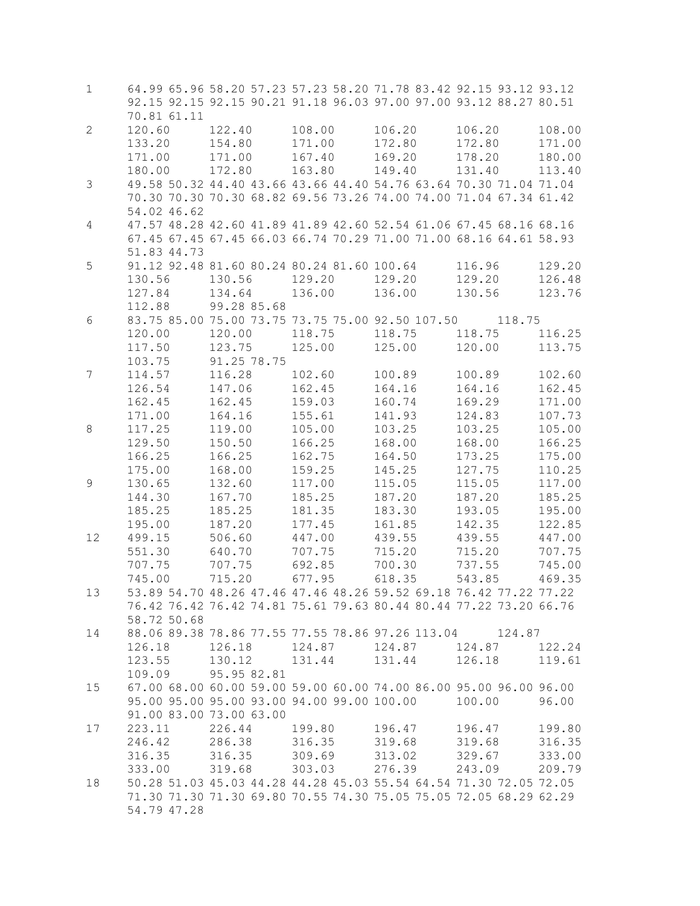| $\mathbf{1}$   | 70.81 61.11                          | 64.99 65.96 58.20 57.23 57.23 58.20 71.78 83.42 92.15 93.12 93.12<br>92.15 92.15 92.15 90.21 91.18 96.03 97.00 97.00 93.12 88.27 80.51 |                                      |                                      |                                      |                                      |
|----------------|--------------------------------------|----------------------------------------------------------------------------------------------------------------------------------------|--------------------------------------|--------------------------------------|--------------------------------------|--------------------------------------|
| $\mathbf{2}$   | 120.60<br>133.20<br>171.00<br>180.00 | 122.40<br>154.80<br>171.00<br>172.80                                                                                                   | 108.00<br>171.00<br>167.40<br>163.80 | 106.20<br>172.80<br>169.20<br>149.40 | 106.20<br>172.80<br>178.20<br>131.40 | 108.00<br>171.00<br>180.00<br>113.40 |
| $\mathfrak{Z}$ | 54.02 46.62                          | 49.58 50.32 44.40 43.66 43.66 44.40 54.76 63.64 70.30 71.04 71.04<br>70.30 70.30 70.30 68.82 69.56 73.26 74.00 74.00 71.04 67.34 61.42 |                                      |                                      |                                      |                                      |
| 4              | 51.83 44.73                          | 47.57 48.28 42.60 41.89 41.89 42.60 52.54 61.06 67.45 68.16 68.16<br>67.45 67.45 67.45 66.03 66.74 70.29 71.00 71.00 68.16 64.61 58.93 |                                      |                                      |                                      |                                      |
| 5              | 130.56<br>127.84<br>112.88           | 91.12 92.48 81.60 80.24 80.24 81.60 100.64<br>130.56<br>134.64<br>99.28 85.68                                                          | 129.20<br>136.00                     | 129.20<br>136.00                     | 116.96<br>129.20<br>130.56           | 129.20<br>126.48<br>123.76           |
| 6              | 120.00<br>117.50<br>103.75           | 83.75 85.00 75.00 73.75 73.75 75.00 92.50 107.50 118.75<br>120.00<br>123.75<br>91.25 78.75                                             | 118.75<br>125.00                     | 118.75<br>125.00                     | 118.75<br>120.00                     | 116.25<br>113.75                     |
| 7              | 114.57<br>126.54<br>162.45<br>171.00 | 116.28<br>147.06<br>162.45<br>164.16                                                                                                   | 102.60<br>162.45<br>159.03<br>155.61 | 100.89<br>164.16<br>160.74<br>141.93 | 100.89<br>164.16<br>169.29<br>124.83 | 102.60<br>162.45<br>171.00<br>107.73 |
| 8              | 117.25<br>129.50<br>166.25<br>175.00 | 119.00<br>150.50<br>166.25<br>168.00                                                                                                   | 105.00<br>166.25<br>162.75<br>159.25 | 103.25<br>168.00<br>164.50<br>145.25 | 103.25<br>168.00<br>173.25<br>127.75 | 105.00<br>166.25<br>175.00<br>110.25 |
| $\mathsf 9$    | 130.65<br>144.30<br>185.25<br>195.00 | 132.60<br>167.70<br>185.25<br>187.20                                                                                                   | 117.00<br>185.25<br>181.35<br>177.45 | 115.05<br>187.20<br>183.30<br>161.85 | 115.05<br>187.20<br>193.05<br>142.35 | 117.00<br>185.25<br>195.00<br>122.85 |
| 12             | 499.15<br>551.30<br>707.75<br>745.00 | 506.60<br>640.70<br>707.75<br>715.20                                                                                                   | 447.00<br>707.75<br>692.85<br>677.95 | 439.55<br>715.20<br>700.30<br>618.35 | 439.55<br>715.20<br>737.55<br>543.85 | 447.00<br>707.75<br>745.00<br>469.35 |
| 13             | 58.72 50.68                          | 53.89 54.70 48.26 47.46 47.46 48.26 59.52 69.18 76.42 77.22 77.22<br>76.42 76.42 76.42 74.81 75.61 79.63 80.44 80.44 77.22 73.20 66.76 |                                      |                                      |                                      |                                      |
| 14             | 126.18<br>123.55<br>109.09           | 88.06 89.38 78.86 77.55 77.55 78.86 97.26 113.04 124.87<br>126.18<br>130.12<br>95.95 82.81                                             | 124.87 124.87<br>131.44 131.44       |                                      | 124.87<br>126.18                     | 122.24<br>119.61                     |
| 15             | 91.00 83.00 73.00 63.00              | 67.00 68.00 60.00 59.00 59.00 60.00 74.00 86.00 95.00 96.00 96.00<br>95.00 95.00 95.00 93.00 94.00 99.00 100.00                        |                                      |                                      | 100.00                               | 96.00                                |
| 17             | 223.11<br>246.42<br>316.35<br>333.00 | 226.44<br>286.38 316.35<br>316.35<br>319.68                                                                                            | 199.80<br>309.69<br>303.03           | 196.47<br>319.68<br>313.02<br>276.39 | 196.47<br>319.68<br>329.67<br>243.09 | 199.80<br>316.35<br>333.00<br>209.79 |
| 18             | 54.79 47.28                          | 50.28 51.03 45.03 44.28 44.28 45.03 55.54 64.54 71.30 72.05 72.05<br>71.30 71.30 71.30 69.80 70.55 74.30 75.05 75.05 72.05 68.29 62.29 |                                      |                                      |                                      |                                      |